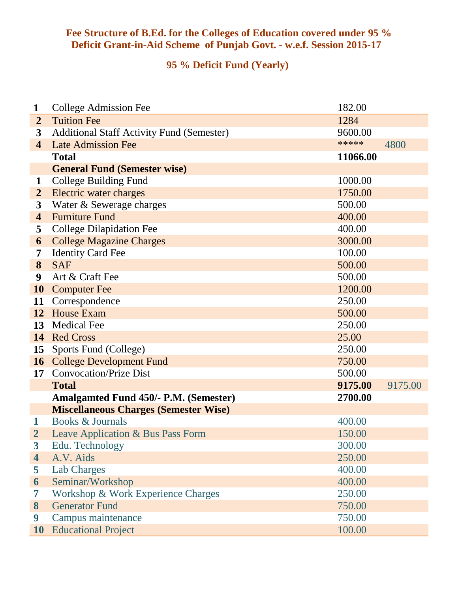## **Fee Structure of B.Ed. for the Colleges of Education covered under 95 % Deficit Grant-in-Aid Scheme of Punjab Govt. - w.e.f. Session 2015-17**

## **95 % Deficit Fund (Yearly)**

| $\mathbf{1}$            | <b>College Admission Fee</b>                     | 182.00   |         |
|-------------------------|--------------------------------------------------|----------|---------|
| $\overline{2}$          | <b>Tuition Fee</b>                               | 1284     |         |
| 3                       | <b>Additional Staff Activity Fund (Semester)</b> | 9600.00  |         |
| $\overline{\mathbf{4}}$ | <b>Late Admission Fee</b>                        | *****    | 4800    |
|                         | <b>Total</b>                                     | 11066.00 |         |
|                         | <b>General Fund (Semester wise)</b>              |          |         |
| $\mathbf 1$             | <b>College Building Fund</b>                     | 1000.00  |         |
| $\overline{2}$          | Electric water charges                           | 1750.00  |         |
| 3                       | Water & Sewerage charges                         | 500.00   |         |
| $\overline{\mathbf{4}}$ | <b>Furniture Fund</b>                            | 400.00   |         |
| 5                       | <b>College Dilapidation Fee</b>                  | 400.00   |         |
| 6                       | <b>College Magazine Charges</b>                  | 3000.00  |         |
| 7                       | <b>Identity Card Fee</b>                         | 100.00   |         |
| 8                       | <b>SAF</b>                                       | 500.00   |         |
| 9                       | Art & Craft Fee                                  | 500.00   |         |
| 10                      | <b>Computer Fee</b>                              | 1200.00  |         |
| 11                      | Correspondence                                   | 250.00   |         |
| 12                      | <b>House Exam</b>                                | 500.00   |         |
| 13                      | <b>Medical Fee</b>                               | 250.00   |         |
| 14                      | <b>Red Cross</b>                                 | 25.00    |         |
| 15                      | Sports Fund (College)                            | 250.00   |         |
|                         | <b>16</b> College Development Fund               | 750.00   |         |
| 17                      | <b>Convocation/Prize Dist</b>                    | 500.00   |         |
|                         | <b>Total</b>                                     | 9175.00  | 9175.00 |
|                         | <b>Amalgamted Fund 450/- P.M. (Semester)</b>     | 2700.00  |         |
|                         | <b>Miscellaneous Charges (Semester Wise)</b>     |          |         |
| $\mathbf 1$             | Books & Journals                                 | 400.00   |         |
| 2                       | Leave Application & Bus Pass Form                | 150.00   |         |
| $\boldsymbol{3}$        | Edu. Technology                                  | 300.00   |         |
| 4                       | A.V. Aids                                        | 250.00   |         |
| 5                       | <b>Lab Charges</b>                               | 400.00   |         |
| 6                       | Seminar/Workshop                                 | 400.00   |         |
| 7                       | Workshop & Work Experience Charges               | 250.00   |         |
| 8                       | <b>Generator Fund</b>                            | 750.00   |         |
| 9                       | Campus maintenance                               | 750.00   |         |
| 10                      | <b>Educational Project</b>                       | 100.00   |         |